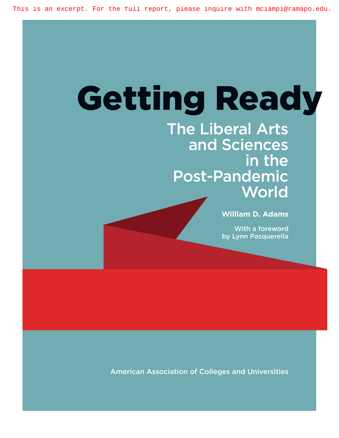# Getting Ready

The Liberal Arts and Sciences in the Post-Pandemic **World** 

**William D. Adams**

With a foreword by Lynn Pasquerella

American Association of Colleges and Universities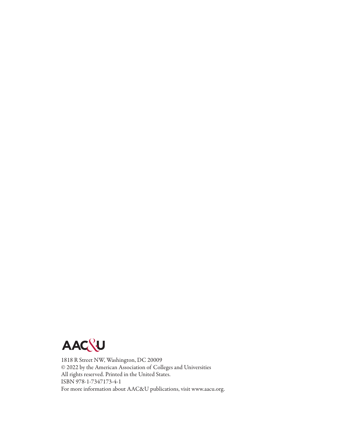

1818 R Street NW, Washington, DC 20009 © 2022 by the American Association of Colleges and Universities All rights reserved. Printed in the United States. ISBN 978-1-7347173-4-1 For more information about AAC&U publications, visit www.aacu.org.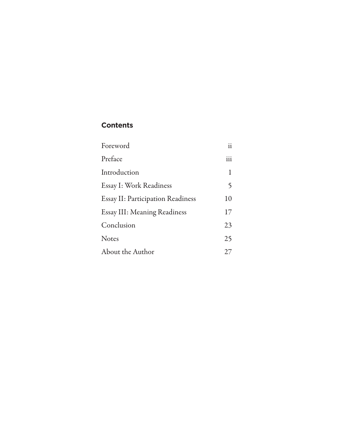## **Contents**

| Foreword                                 | ii  |
|------------------------------------------|-----|
| Preface                                  | iii |
| Introduction                             | 1   |
| Essay I: Work Readiness                  | 5   |
| <b>Essay II: Participation Readiness</b> | 10  |
| Essay III: Meaning Readiness             | 17  |
| Conclusion                               | 23  |
| Notes                                    | 25  |
| About the Author                         | 27  |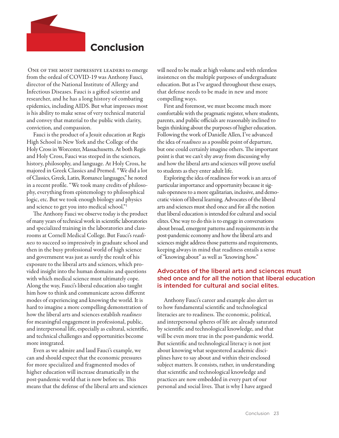## **Conclusion**

ONE OF THE MOST IMPRESSIVE LEADERS to emerge from the ordeal of COVID-19 was Anthony Fauci, director of the National Institute of Allergy and Infectious Diseases. Fauci is a gifted scientist and researcher, and he has a long history of combating epidemics, including AIDS. But what impresses most is his ability to make sense of very technical material and convey that material to the public with clarity, conviction, and compassion.

Fauci is the product of a Jesuit education at Regis High School in New York and the College of the Holy Cross in Worcester, Massachusetts. At both Regis and Holy Cross, Fauci was steeped in the sciences, history, philosophy, and language. At Holy Cross, he majored in Greek Classics and Premed. "We did a lot of Classics, Greek, Latin, Romance languages," he noted in a recent profile. "We took many credits of philosophy, everything from epistemology to philosophical logic, etc. But we took enough biology and physics and science to get you into medical school."1

The Anthony Fauci we observe today is the product of many years of technical work in scientific laboratories and specialized training in the laboratories and classrooms at Cornell Medical College. But Fauci's readiness to succeed so impressively in graduate school and then in the busy professional world of high science and government was just as surely the result of his exposure to the liberal arts and sciences, which provided insight into the human domains and questions with which medical science must ultimately cope. Along the way, Fauci's liberal education also taught him how to think and communicate across different modes of experiencing and knowing the world. It is hard to imagine a more compelling demonstration of how the liberal arts and sciences establish *readiness* for meaningful engagement in professional, public, and interpersonal life, especially as cultural, scientific, and technical challenges and opportunities become more integrated.

Even as we admire and laud Fauci's example, we can and should expect that the economic pressures for more specialized and fragmented modes of higher education will increase dramatically in the post-pandemic world that is now before us. This means that the defense of the liberal arts and sciences

will need to be made at high volume and with relentless insistence on the multiple purposes of undergraduate education. But as I've argued throughout these essays, that defense needs to be made in new and more compelling ways.

First and foremost, we must become much more comfortable with the pragmatic register, where students, parents, and public officials are reasonably inclined to begin thinking about the purposes of higher education. Following the work of Danielle Allen, I've advanced the idea of *readiness* as a possible point of departure, but one could certainly imagine others. The important point is that we can't shy away from discussing why and how the liberal arts and sciences will prove useful to students as they enter adult life.

Exploring the idea of readiness for work is an area of particular importance and opportunity because it signals openness to a more egalitarian, inclusive, and democratic vision of liberal learning. Advocates of the liberal arts and sciences must shed once and for all the notion that liberal education is intended for cultural and social elites. One way to do this is to engage in conversations about broad, emergent patterns and requirements in the post-pandemic economy and how the liberal arts and sciences might address those patterns and requirements, keeping always in mind that readiness entails a sense of "knowing about" as well as "knowing how."

### Advocates of the liberal arts and sciences must shed once and for all the notion that liberal education is intended for cultural and social elites.

Anthony Fauci's career and example also alert us to how fundamental scientific and technological literacies are to readiness. The economic, political, and interpersonal spheres of life are already saturated by scientific and technological knowledge, and that will be even more true in the post-pandemic world. But scientific and technological literacy is not just about knowing what sequestered academic disciplines have to say about and within their enclosed subject matters. It consists, rather, in understanding that scientific and technological knowledge and practices are now embedded in every part of our personal and social lives. That is why I have argued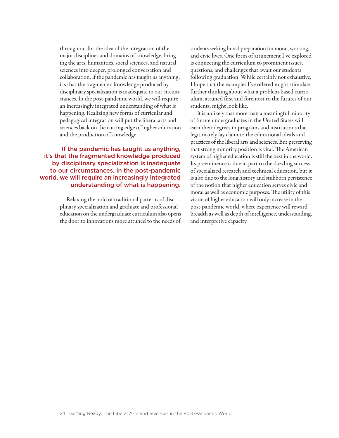throughout for the idea of the integration of the major disciplines and domains of knowledge, bringing the arts, humanities, social sciences, and natural sciences into deeper, prolonged conversation and collaboration. If the pandemic has taught us anything, it's that the fragmented knowledge produced by disciplinary specialization is inadequate to our circumstances. In the post-pandemic world, we will require an increasingly integrated understanding of what is happening. Realizing new forms of curricular and pedagogical integration will put the liberal arts and sciences back on the cutting edge of higher education and the production of knowledge.

If the pandemic has taught us anything, it's that the fragmented knowledge produced by disciplinary specialization is inadequate to our circumstances. In the post-pandemic world, we will require an increasingly integrated understanding of what is happening.

> Relaxing the hold of traditional patterns of disciplinary specialization and graduate and professional education on the undergraduate curriculum also opens the door to innovations more attuned to the needs of

students seeking broad preparation for moral, working, and civic lives. One form of attunement I've explored is connecting the curriculum to prominent issues, questions, and challenges that await our students following graduation. While certainly not exhaustive, I hope that the examples I've offered might stimulate further thinking about what a problem-based curriculum, attuned first and foremost to the futures of our students, might look like.

It is unlikely that more than a meaningful minority of future undergraduates in the United States will earn their degrees in programs and institutions that legitimately lay claim to the educational ideals and practices of the liberal arts and sciences. But preserving that strong minority position is vital. The American system of higher education is still the best in the world. Its preeminence is due in part to the dazzling success of specialized research and technical education, but it is also due to the long history and stubborn persistence of the notion that higher education serves civic and moral as well as economic purposes. The utility of this vision of higher education will only increase in the post-pandemic world, where experience will reward breadth as well as depth of intelligence, understanding, and interpretive capacity.